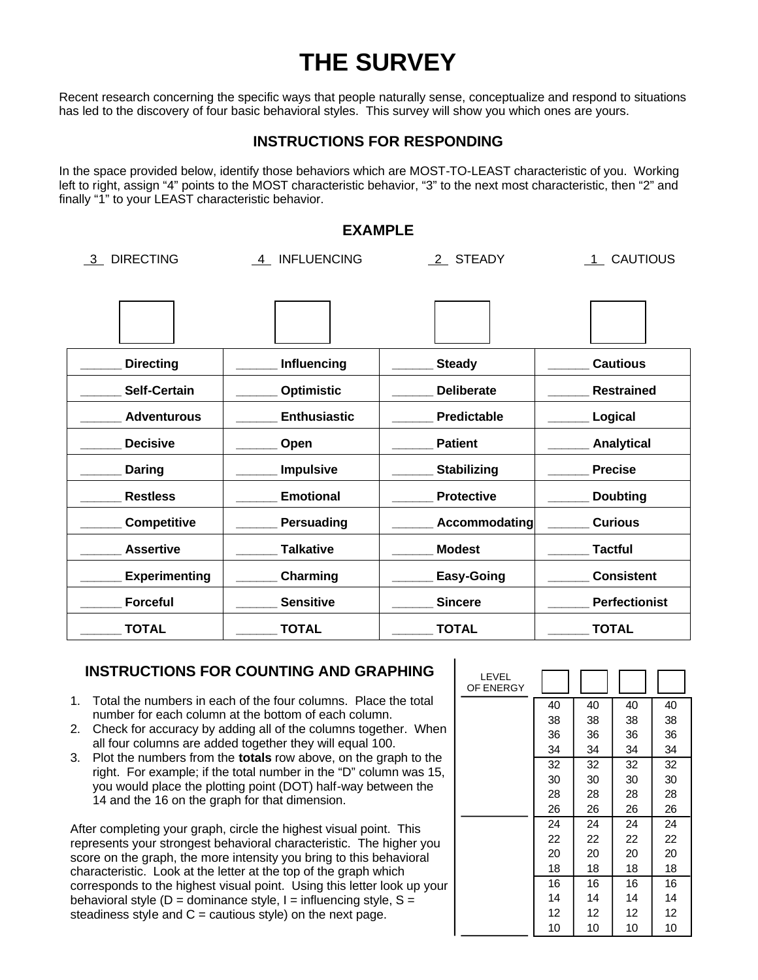# **THE SURVEY**

Recent research concerning the specific ways that people naturally sense, conceptualize and respond to situations has led to the discovery of four basic behavioral styles. This survey will show you which ones are yours.

### **INSTRUCTIONS FOR RESPONDING**

In the space provided below, identify those behaviors which are MOST-TO-LEAST characteristic of you. Working left to right, assign "4" points to the MOST characteristic behavior, "3" to the next most characteristic, then "2" and finally "1" to your LEAST characteristic behavior.

#### **EXAMPLE**

**Directing example 10** Influencing **and Steady Example 2** Cautious **\_\_\_\_\_\_ Self-Certain \_\_\_\_\_\_ Optimistic \_\_\_\_\_\_ Deliberate \_\_\_\_\_\_ Restrained \_\_\_\_\_\_ Adventurous \_\_\_\_\_\_ Enthusiastic \_\_\_\_\_\_ Predictable \_\_\_\_\_\_ Logical \_\_\_\_\_\_ Decisive \_\_\_\_\_\_ Open \_\_\_\_\_\_ Patient \_\_\_\_\_\_ Analytical \_\_\_\_\_\_ Daring \_\_\_\_\_\_ Impulsive \_\_\_\_\_\_ Stabilizing \_\_\_\_\_\_ Precise \_\_\_\_\_\_ Restless \_\_\_\_\_\_ Emotional \_\_\_\_\_\_ Protective \_\_\_\_\_\_ Doubting Competitive Dersuading Accommodating Curious \_\_\_\_\_\_ Assertive \_\_\_\_\_\_ Talkative \_\_\_\_\_\_ Modest \_\_\_\_\_\_ Tactful \_\_\_\_\_\_ Experimenting \_\_\_\_\_\_ Charming \_\_\_\_\_\_ Easy-Going \_\_\_\_\_\_ Consistent \_\_\_\_\_\_ Forceful \_\_\_\_\_\_ Sensitive \_\_\_\_\_\_ Sincere \_\_\_\_\_\_ Perfectionist \_\_\_\_\_\_ TOTAL \_\_\_\_\_\_ TOTAL \_\_\_\_\_\_ TOTAL \_\_\_\_\_\_ TOTAL** 3 DIRECTING 4 INFLUENCING 2 STEADY 1 CAUTIOUS

 $\blacksquare$ 

### **INSTRUCTIONS FOR COUNTING AND GRAPHING**

- 1. Total the numbers in each of the four columns. Place the total number for each column at the bottom of each column.
- 2. Check for accuracy by adding all of the columns together. When all four columns are added together they will equal 100.
- 3. Plot the numbers from the **totals** row above, on the graph to the right. For example; if the total number in the "D" column was 15, you would place the plotting point (DOT) half-way between the 14 and the 16 on the graph for that dimension.

After completing your graph, circle the highest visual point. This represents your strongest behavioral characteristic. The higher you score on the graph, the more intensity you bring to this behavioral characteristic. Look at the letter at the top of the graph which corresponds to the highest visual point. Using this letter look up your behavioral style ( $D =$  dominance style,  $I =$  influencing style,  $S =$ steadiness style and  $C =$  cautious style) on the next page.

| LEVEL<br>OF ENERGY |    |    |    |    |
|--------------------|----|----|----|----|
|                    | 40 | 40 | 40 | 40 |
|                    | 38 | 38 | 38 | 38 |
|                    | 36 | 36 | 36 | 36 |
|                    | 34 | 34 | 34 | 34 |
|                    | 32 | 32 | 32 | 32 |
|                    | 30 | 30 | 30 | 30 |
|                    | 28 | 28 | 28 | 28 |
|                    | 26 | 26 | 26 | 26 |
|                    | 24 | 24 | 24 | 24 |
|                    | 22 | 22 | 22 | 22 |
|                    | 20 | 20 | 20 | 20 |
|                    | 18 | 18 | 18 | 18 |
|                    | 16 | 16 | 16 | 16 |
|                    | 14 | 14 | 14 | 14 |
|                    | 12 | 12 | 12 | 12 |
|                    | 10 | 10 | 10 | 10 |